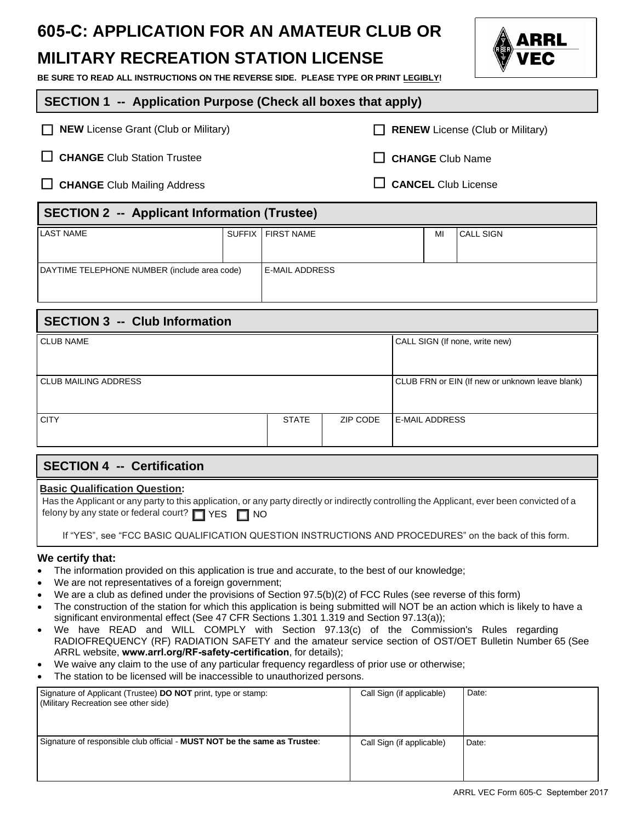# **605-C: APPLICATION FOR AN AMATEUR CLUB OR**

## **MILITARY RECREATION STATION LICENSE**

**BE SURE TO READ ALL INSTRUCTIONS ON THE REVERSE SIDE. PLEASE TYPE OR PRINT LEGIBLY!** 

### **SECTION 1 -- Application Purpose (Check all boxes that apply)**

| $\Box$ NEW License Grant (Club or Military) | RENEW License (Club or Military) |
|---------------------------------------------|----------------------------------|
|                                             |                                  |

□ CHANGE Club Station Trustee **CHANGE** Club Name

□ CHANGE Club Mailing Address **CANCEL** Club License

### **SECTION 2 -- Applicant Information (Trustee)**

| LAST NAME                                    |  | SUFFIX   FIRST NAME | MI | I CALL SIGN |  |
|----------------------------------------------|--|---------------------|----|-------------|--|
|                                              |  |                     |    |             |  |
| DAYTIME TELEPHONE NUMBER (include area code) |  | I E-MAIL ADDRESS    |    |             |  |
|                                              |  |                     |    |             |  |

| <b>SECTION 3 -- Club Information</b> |              |          |                                                 |  |  |  |
|--------------------------------------|--------------|----------|-------------------------------------------------|--|--|--|
| <b>CLUB NAME</b>                     |              |          | CALL SIGN (If none, write new)                  |  |  |  |
|                                      |              |          |                                                 |  |  |  |
| CLUB MAILING ADDRESS                 |              |          | CLUB FRN or EIN (If new or unknown leave blank) |  |  |  |
| <b>CITY</b>                          | <b>STATE</b> | ZIP CODE | I E-MAIL ADDRESS                                |  |  |  |

### **SECTION 4 -- Certification**

### **Basic Qualification Question:**

|                                                            | Has the Applicant or any party to this application, or any party directly or indirectly controlling the Applicant, ever been convicted of a |  |
|------------------------------------------------------------|---------------------------------------------------------------------------------------------------------------------------------------------|--|
| felony by any state or federal court? $\Box$ YES $\Box$ NO |                                                                                                                                             |  |

If "YES", see "FCC BASIC QUALIFICATION QUESTION INSTRUCTIONS AND PROCEDURES" on the back of this form.

### **We certify that:**

- The information provided on this application is true and accurate, to the best of our knowledge;
- We are not representatives of a foreign government;
- We are a club as defined under the provisions of Section 97.5(b)(2) of FCC Rules (see reverse of this form)
- The construction of the station for which this application is being submitted will NOT be an action which is likely to have a significant environmental effect (See 47 CFR Sections 1.301 1.319 and Section 97.13(a));
- We have READ and WILL COMPLY with Section 97.13(c) of the Commission's Rules regarding RADIOFREQUENCY (RF) RADIATION SAFETY and the amateur service section of OST/OET Bulletin Number 65 (See ARRL website, **<www.arrl.org/RF-safety-certification>**, for details);
- We waive any claim to the use of any particular frequency regardless of prior use or otherwise;
- The station to be licensed will be inaccessible to unauthorized persons.

| Signature of Applicant (Trustee) <b>DO NOT</b> print, type or stamp:<br>(Military Recreation see other side) | Call Sign (if applicable) | Date: |
|--------------------------------------------------------------------------------------------------------------|---------------------------|-------|
| Signature of responsible club official - MUST NOT be the same as Trustee:                                    | Call Sign (if applicable) | Date: |